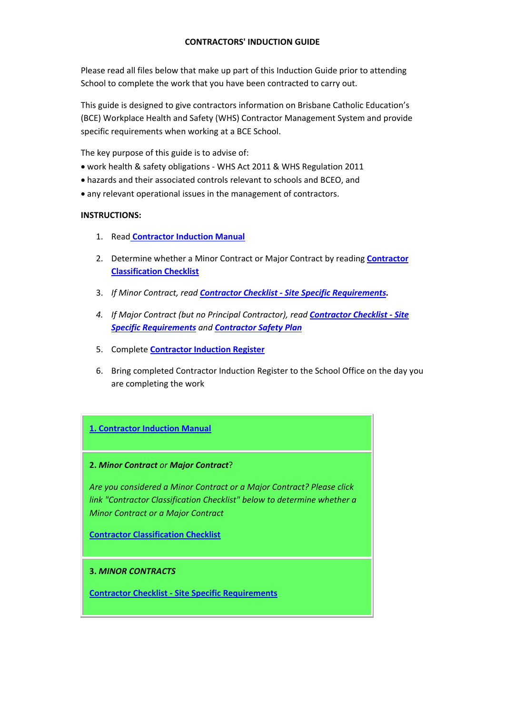## **CONTRACTORS' INDUCTION GUIDE**

Please read all files below that make up part of this Induction Guide prior to attending School to complete the work that you have been contracted to carry out.

This guide is designed to give contractors information on Brisbane Catholic Education's (BCE) Workplace Health and Safety (WHS) Contractor Management System and provide specific requirements when working at a BCE School.

The key purpose of this guide is to advise of:

- work health & safety obligations ‐ WHS Act 2011 & WHS Regulation 2011
- hazards and their associated controls relevant to schools and BCEO, and
- any relevant operational issues in the management of contractors.

## **INSTRUCTIONS:**

- 1. Read **Contractor Induction Manual**
- 2. Determine whether a Minor Contract or Major Contract by reading **Contractor Classification Checklist**
- 3. *If Minor Contract, read Contractor Checklist ‐ Site Specific Requirements.*
- *4. If Major Contract (but no Principal Contractor), read Contractor Checklist ‐ Site Specific Requirements and Contractor Safety Plan*
- 5. Complete **Contractor Induction Register**
- 6. Bring completed Contractor Induction Register to the School Office on the day you are completing the work

# **1. Contractor Induction Manual**

### **2.** *Minor Contract or Major Contract*?

*Are you considered a Minor Contract or a Major Contract? Please click link "Contractor Classification Checklist" below to determine whether a Minor Contract or a Major Contract*

**Contractor Classification Checklist**

### **3.** *MINOR CONTRACTS*

**Contractor Checklist ‐ Site Specific Requirements**